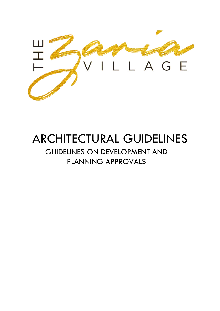

# ARCHITECTURAL GUIDELINES

## GUIDELINES ON DEVELOPMENT AND PLANNING APPROVALS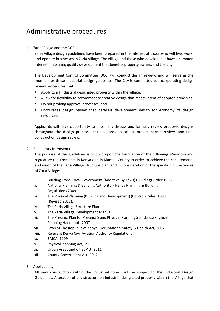### Administrative procedures

#### 1. Zaria Village and the DCC

Zaria Village design guidelines have been prepared in the interest of those who will live, work, and operate businesses in Zaria Village. The village and those who develop in it have a common interest in assuring quality development that benefits property owners and the City.

The Development Control Committee (DCC) will conduct design reviews and will serve as the monitor for these industrial design guidelines. The City is committed to incorporating design review procedures that:

- Apply to all industrial designated property within the village;
- Allow for flexibility to accommodate creative design that meets intent of adopted principles;
- Do not prolong approval processes, and
- Encourages design review that parallels development design for economy of design resources.

Applicants will have opportunity to informally discuss and formally review proposed designs throughout the design process, including pre-application, project permit review, and final construction design review.

2. Regulatory framework

The purpose of this guidelines is to build upon the foundation of the following sZariatory and regulatory requirements in Kenya and in Kiambu County in order to achieve the requirements and vision of the Zaria Village Structure plan, and in consideration of the specific circumstances of Zaria Village:

- i. Building Code: Local Government (Adoptive By-Laws) (Building) Order 1968
- ii. National Planning & Building Authority Kenya Planning & Building Regulations 2009
- iii. The Physical Planning (Building and Development) (Control) Rules, 1998 (Revised 2012).
- iv. The Zaria Village Structure Plan
- v. The Zaria Village Development Manual
- vi. The Precinct Plan for Precinct 5 and Physical Planning Standards/Physical Planning Handbook, 2007
- vii. Laws of The Republic of Kenya: Occupational Safety & Health Act, 2007
- viii. Relevant Kenya Civil Aviation Authority Regulations
- ix. EMCA, 1999
- x. Physical Planning Act, 1996.
- xi. Urban Areas and Cities Act, 2011
- xii. County Government Act, 2012
- 3. Applicability

All new construction within the Industrial zone shall be subject to the Industrial Design Guidelines. Alteration of any structure on Industrial designated property within the Village that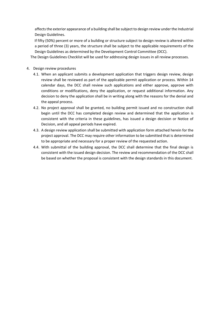affects the exterior appearance of a building shall be subject to design review under the Industrial Design Guidelines.

If fifty (50%) percent or more of a building or structure subject to design review is altered within a period of three (3) years, the structure shall be subject to the applicable requirements of the Design Guidelines as determined by the Development Control Committee (DCC).

The Design Guidelines Checklist will be used for addressing design issues in all review processes.

- 4. Design review procedures
	- 4.1. When an applicant submits a development application that triggers design review, design review shall be reviewed as part of the applicable permit application or process. Within 14 calendar days, the DCC shall review such applications and either approve, approve with conditions or modifications, deny the application, or request additional information. Any decision to deny the application shall be in writing along with the reasons for the denial and the appeal process.
	- 4.2. No project approval shall be granted, no building permit issued and no construction shall begin until the DCC has completed design review and determined that the application is consistent with the criteria in these guidelines, has issued a design decision or Notice of Decision, and all appeal periods have expired.
	- 4.3. A design review application shall be submitted with application form attached herein for the project approval. The DCC may require other information to be submitted that is determined to be appropriate and necessary for a proper review of the requested action.
	- 4.4. With submittal of the building approval, the DCC shall determine that the final design is consistent with the issued design decision. The review and recommendation of the DCC shall be based on whether the proposal is consistent with the design standards in this document.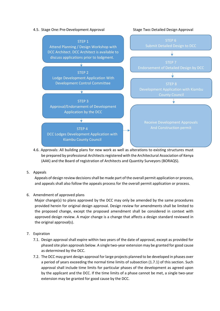#### 4.5. Stage One:Pre-Development Approval Stage Two:Detailed Design Approval



- 4.6. Approvals: All building plans for new work as well as alterations to existing structures must be prepared by professional Architects registered with the Architectural Association of Kenya (AAK) and the Board of registration of Architects and Quantity Surveyors (BORAQS).
- 5. Appeals

Appeals of design review decisions shall be made part of the overall permit application or process, and appeals shall also follow the appeals process for the overall permit application or process.

6. Amendment of approved plans

Major change(s) to plans approved by the DCC may only be amended by the same procedures provided herein for original design approval. Design review for amendments shall be limited to the proposed change, except the proposed amendment shall be considered in context with approved design review. A major change is a change that affects a design standard reviewed in the original approval(s).

- 7. Expiration
	- 7.1. Design approval shall expire within two years of the date of approval, except as provided for phased site plan approvals below. A single two-year extension may be granted for good cause as determined by the DCC.
	- 7.2. The DCC may grant design approval for large projects planned to be developed in phases over a period of years exceeding the normal time limits of subsection (1.7.1) of this section. Such approval shall include time limits for particular phases of the development as agreed upon by the applicant and the DCC. If the time limits of a phase cannot be met, a single two-year extension may be granted for good cause by the DCC.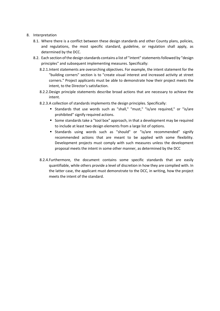#### 8. Interpretation

- 8.1. Where there is a conflict between these design standards and other County plans, policies, and regulations, the most specific standard, guideline, or regulation shall apply, as determined by the DCC.
- 8.2. Each section of the design standards contains a list of "intent" statements followed by "design principles" and subsequent implementing measures. Specifically:
	- 8.2.1.Intent statements are overarching objectives. For example, the intent statement for the "building corners" section is to "create visual interest and increased activity at street corners." Project applicants must be able to demonstrate how their project meets the intent, to the Director's satisfaction.
	- 8.2.2.Design principle statements describe broad actions that are necessary to achieve the intent.
	- 8.2.3.A collection of standards implements the design principles. Specifically:
		- Standards that use words such as "shall," "must," "is/are required," or "is/are prohibited" signify required actions.
		- **Some standards take a "tool box" approach, in that a development may be required** to include at least two design elements from a large list of options.
		- Standards using words such as "should" or "is/are recommended" signify recommended actions that are meant to be applied with some flexibility. Development projects must comply with such measures unless the development proposal meets the intent in some other manner, as determined by the DCC
	- 8.2.4.Furthermore, the document contains some specific standards that are easily quantifiable, while others provide a level of discretion in how they are complied with. In the latter case, the applicant must demonstrate to the DCC, in writing, how the project meets the intent of the standard.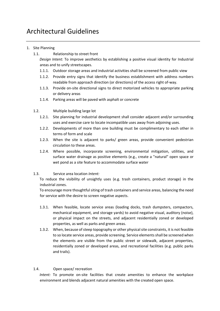### Architectural Guidelines

#### 1. Site Planning

1.1. Relationship to street front

*Design Intent:* To improve aesthetics by establishing a positive visual identity for Industrial areas and to unify streetscapes.

- 1.1.1. Outdoor storage areas and industrial activities shall be screened from public view
- 1.1.2. Provide entry signs that identify the business establishment with address numbers readable from approach direction (or directions) of the access right of-way.
- 1.1.3. Provide on-site directional signs to direct motorized vehicles to appropriate parking or delivery areas
- 1.1.4. Parking areas will be paved with asphalt or concrete
- 1.2. Multiple building large lot
	- 1.2.1. Site planning for industrial development shall consider adjacent and/or surrounding uses and exercise care to locate incompatible uses away from adjoining uses.
	- 1.2.2. Developments of more than one building must be complimentary to each other in terms of form and scale
	- 1.2.3. When the site is adjacent to parks/ green areas, provide convenient pedestrian circulation to these areas.
	- 1.2.4. Where possible, incorporate screening, environmental mitigation, utilities, and surface water drainage as positive elements (e.g., create a "natural" open space or wet pond as a site feature to accommodate surface water
- 1.3. Service area location *Intent:*

To reduce the visibility of unsightly uses (e.g. trash containers, product storage) in the industrial zones.

To encourage more thoughtful siting of trash containers and service areas, balancing the need for service with the desire to screen negative aspects.

- 1.3.1. When feasible, locate service areas (loading docks, trash dumpsters, compactors, mechanical equipment, and storage yards) to avoid negative visual, auditory (noise), or physical impact on the streets, and adjacent residentially zoned or developed properties, as well as parks and green areas.
- 1.3.2. When, because of steep topography or other physical site constraints, it is not feasible to so locate service areas, provide screening. Service elements shall be screened when the elements are visible from the public street or sidewalk, adjacent properties, residentially zoned or developed areas, and recreational facilities (e.g. public parks and trails).

#### 1.4. Open space/ recreation

*Intent:* To promote on-site facilities that create amenities to enhance the workplace environment and blends adjacent natural amenities with the created open space.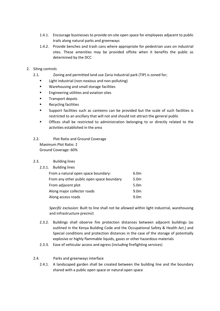- 1.4.1. Encourage businesses to provide on-site open space for employees adjacent to public trails along natural parks and greenways
- 1.4.2. Provide benches and trash cans where appropriate for pedestrian uses on industrial sites. These amenities may be provided offsite when it benefits the public as determined by the DCC
- 2. Siting controls
	- 2.1. Zoning and permitted land use Zaria Industrial park (TIP) is zoned for;
		- **EXECT** Light industrial (non-noxious and non-polluting)
		- **Warehousing and small storage facilities**
		- **Engineering utilities and aviation sites**
		- Transport depots
		- **Recycling facilities**
		- Support facilities such as canteens can be provided but the scale of such facilities is restricted to an ancillary that will not and should not attract the general public
		- Offices shall be restricted to administration belonging to or directly related to the activities established in the area
	- 2.2. Plot Ratio and Ground Coverage Maximum Plot Ratio: 2 Ground Coverage: 60%

#### 2.3. Building lines

2.3.1. Building lines

| From a natural open space boundary:       | 6.0m             |
|-------------------------------------------|------------------|
| From any other public open space boundary | 5.0 <sub>m</sub> |
| From adjacent plot                        | 5.0m             |
| Along major collector roads               | 9.0 <sub>m</sub> |
| Along access roads                        | 9.0m             |

*Specific exclusion:* Built to line shall not be allowed within light industrial, warehousing and infrastructure precinct

- 2.3.2. Buildings shall observe fire protection distances between adjacent buildings (as outlined in the Kenya Building Code and the Occupational Safety & Health Act.) and Special conditions and protection distances in the case of the storage of potentially explosive or highly flammable liquids, gases or other hazardous materials
- 2.3.3. Ease of vehicular access and egress (including firefighting services)
- 2.4. Parks and greenways interface
	- 2.4.1. A landscaped garden shall be created between the building line and the boundary shared with a public open space or natural open space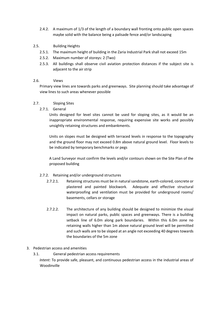- 2.4.2. A maximum of 1/3 of the length of a boundary wall fronting onto public open spaces maybe solid with the balance being a palisade fence and/or landscaping
- 2.5. Building Heights
	- 2.5.1. The maximum height of building in the Zaria Industrial Park shall not exceed 15m
	- 2.5.2. Maximum number of storeys: 2 (Two)
	- 2.5.3. All buildings shall observe civil aviation protection distances if the subject site is adjacent to the air strip

#### 2.6. Views

Primary view lines are towards parks and greenways. Site planning should take advantage of view lines to such areas whenever possible

#### 2.7. Sloping Sites

2.7.1. General

Units designed for level sites cannot be used for sloping sites, as it would be an inappropriate environmental response, requiring expensive site works and possibly unsightly retaining structures and embankments.

Units on slopes must be designed with terraced levels in response to the topography and the ground floor may not exceed 0.8m above natural ground level. Floor levels to be indicated by temporary benchmarks or pegs

A Land Surveyor must confirm the levels and/or contours shown on the Site Plan of the proposed building

#### 2.7.2. Retaining and/or underground structures

- 2.7.2.1. Retaining structures must be in natural sandstone, earth-colored, concrete or plastered and painted blockwork. Adequate and effective structural waterproofing and ventilation must be provided for underground rooms/ basements, cellars or storage
- 2.7.2.2. The architecture of any building should be designed to minimize the visual impact on natural parks, public spaces and greenways. There is a building setback line of 6.0m along park boundaries. Within this 6.0m zone no retaining walls higher than 1m above natural ground level will be permitted and such walls are to be sloped at an angle not exceeding 40 degrees towards the boundaries of the 5m zone

#### 3. Pedestrian access and amenities

3.1. General pedestrian access requirements

*Intent:* To provide safe, pleasant, and continuous pedestrian access in the industrial areas of Woodinville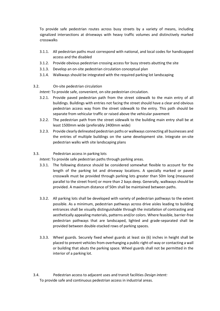To provide safe pedestrian routes across busy streets by a variety of means, including signalized intersections at driveways with heavy traffic volumes and distinctively marked crosswalks

- 3.1.1. All pedestrian paths must correspond with national, and local codes for handicapped access and the disabled
- 3.1.2. Provide obvious pedestrian crossing access for busy streets abutting the site
- 3.1.3. Develop an on-site pedestrian circulation conceptual plan
- 3.1.4. Walkways should be integrated with the required parking lot landscaping
- 3.2. On-site pedestrian circulation

*Intent:* To provide safe, convenient, on-site pedestrian circulation.

- 3.2.1. Provide paved pedestrian path from the street sidewalk to the main entry of all buildings. Buildings with entries not facing the street should have a clear and obvious pedestrian access way from the street sidewalk to the entry. This path should be separate from vehicular traffic or raised above the vehicular pavement
- 3.2.2. The pedestrian path from the street sidewalk to the building main entry shall be at least 1500mm wide (preferably 2400mm wide)
- 3.2.3. Provide clearly delineated pedestrian paths or walkways connecting all businesses and the entries of multiple buildings on the same development site. Integrate on-site pedestrian walks with site landscaping plans
- 3.3. Pedestrian access in parking lots

*Intent:* To provide safe pedestrian paths through parking areas.

- 3.3.1. The following distance should be considered somewhat flexible to account for the length of the parking lot and driveway locations. A specially marked or paved crosswalk must be provided through parking lots greater than 50m long (measured parallel to the street front) or more than 2 bays deep. Generally, walkways should be provided. A maximum distance of 50m shall be maintained between paths.
- 3.3.2. All parking lots shall be developed with variety of pedestrian pathways to the extent possible. As a minimum, pedestrian pathways across drive aisles leading to building entrances shall be visually distinguishable through the installation of contrasting and aesthetically appealing materials, patterns and/or colors. Where feasible, barrier-free pedestrian pathways that are landscaped, lighted and grade-separated shall be provided between double-stacked rows of parking spaces.
- 3.3.3. Wheel guards. Securely fixed wheel guards at least six (6) inches in height shall be placed to prevent vehicles from overhanging a public right-of-way or contacting a wall or building that abuts the parking space. Wheel guards shall not be permitted in the interior of a parking lot.
- 3.4. Pedestrian access to adjacent uses and transit facilities *Design intent:*  To provide safe and continuous pedestrian access in industrial areas.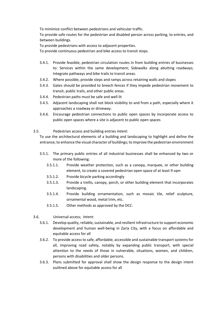To minimize conflict between pedestrians and vehicular traffic.

To provide safe routes for the pedestrian and disabled person across parking, to entries, and between buildings.

To provide pedestrians with access to adjacent properties.

To provide continuous pedestrian and bike access to transit stops.

- 3.4.1. Provide feasible, pedestrian circulation routes in from building entries of businesses to: Services within the same development; Sidewalks along abutting roadways; Integrate pathways and bike trails to transit areas.
- 3.4.2. Where possible, provide steps and ramps across retaining walls and slopes
- 3.4.3. Gates should be provided to breech fences if they impede pedestrian movement to transit, public trails, and other public areas.
- 3.4.4. Pedestrian paths must be safe and well lit
- 3.4.5. Adjacent landscaping shall not block visibility to and from a path, especially where it approaches a roadway or driveway.
- 3.4.6. Encourage pedestrian connections to public open spaces by incorporate access to public open spaces where a site is adjacent to public open spaces
- 3.5. Pedestrian access and building entries *Intent:*

To use the architectural elements of a building and landscaping to highlight and define the entrance; to enhance the visual character of buildings; to improve the pedestrian environment

- 3.5.1. The primary public entries of all industrial businesses shall be enhanced by two or more of the following:
	- 3.5.1.1. Provide weather protection, such as a canopy, marquee, or other building element, to create a covered pedestrian open space of at least 9 sqm
	- 3.5.1.2. Provide bicycle parking accordingly
	- 3.5.1.3. Provide a trellis, canopy, porch, or other building element that incorporates landscaping.
	- 3.5.1.4. Provide building ornamentation, such as mosaic tile, relief sculpture, ornamental wood, metal trim, etc.
	- 3.5.1.5. Other methods as approved by the DCC.
- 3.6. Universal access; *Intent:* 
	- 3.6.1. Develop quality, reliable, sustainable, and resilient infrastructure to support economic development and human well-being in Zaria City, with a focus on affordable and equitable access for all
	- 3.6.2. To provide access to safe, affordable, accessible and sustainable transport systems for all, improving road safety, notably by expanding public transport, with special attention to the needs of those in vulnerable, situations, women, and children, persons with disabilities and older persons.
	- 3.6.3. Plans submitted for approval shall show the design response to the design intent outlined above for equitable access for all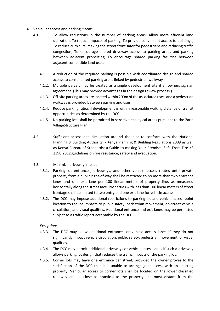- 4. Vehicular access and parking *Intent:* 
	- 4.1. To allow reductions in the number of parking areas; Allow more efficient land utilization; To reduce impacts of parking; To provide convenient access to buildings; To reduce curb cuts, making the street front safer for pedestrians and reducing traffic congestion; To encourage shared driveway access to parking areas and parking between adjacent properties; To encourage shared parking facilities between adjacent compatible land uses.
		- 4.1.1. A reduction of the required parking is possible with coordinated design and shared access to consolidated parking areas linked by pedestrian walkways.
		- 4.1.2. Multiple parcels may be treated as a single development site if all owners sign an agreement. (This may provide advantages in the design review process.)
		- 4.1.3. Off-site parking areas are located within 200m of the associated uses, and a pedestrian walkway is provided between parking and uses.
		- 4.1.4. Reduce parking ratios if development is within reasonable walking distance of transit opportunities as determined by the DCC
		- 4.1.5. No parking lots shall be permitted in sensitive ecological areas pursuant to the Zaria VillageStructure Plan
	- 4.2. Sufficient access and circulation around the plot to conform with the National Planning & Building Authority - Kenya Planning & Building Regulations 2009 as well as Kenya Bureau of Standards: a Guide to making Your Premises Safe From Fire KS 2390:2012,guidelines on fire resistance, safety and evacuation.

#### 4.3. Minimize driveway impact

- 4.3.1. Parking lot entrances, driveways, and other vehicle access routes onto private property from a public right-of-way shall be restricted to no more than two entrance lanes and one exit lane per 100 linear meters of property line, as measured horizontally along the street face. Properties with less than 100 linear meters of street frontage shall be limited to two entry and one exit lane for vehicle access.
- 4.3.2. The DCC may impose additional restrictions to parking lot and vehicle access point location to reduce impacts to public safety, pedestrian movement, on-street vehicle circulation, and visual qualities. Additional entrance and exit lanes may be permitted subject to a traffic report acceptable by the DCC.

#### *Exceptions*

- 4.3.3. The DCC may allow additional entrances or vehicle access lanes if they do not significantly impact vehicle circulation, public safety, pedestrian movement, or visual qualities.
- 4.3.4. The DCC may permit additional driveways or vehicle access lanes if such a driveway allows parking lot design that reduces the traffic impacts of the parking lot.
- 4.3.5. Corner lots may have one entrance per street, provided the owner proves to the satisfaction of the DCC that it is unable to arrange joint access with an abutting property. Vehicular access to corner lots shall be located on the lower classified roadway and as close as practical to the property line most distant from the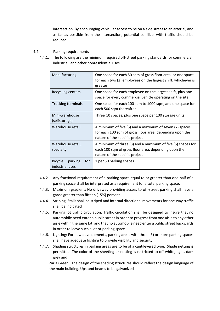intersection. By encouraging vehicular access to be on a side street to an arterial, and as far as possible from the intersection, potential conflicts with traffic should be reduced.

#### 4.4. Parking requirements

4.4.1. The following are the minimum required off-street parking standards for commercial, industrial, and other nonresidential uses.

| Manufacturing                                       | One space for each 50 sqm of gross floor area, or one space<br>for each two (2) employees on the largest shift, whichever is<br>greater               |
|-----------------------------------------------------|-------------------------------------------------------------------------------------------------------------------------------------------------------|
| Recycling centers                                   | One space for each employee on the largest shift, plus one<br>space for every commercial vehicle operating on the site                                |
| <b>Trucking terminals</b>                           | One space for each 100 sqm to 1000 sqm, and one space for<br>each 500 sqm thereafter                                                                  |
| Mini-warehouse<br>(selfstorage)                     | Three (3) spaces, plus one space per 100 storage units                                                                                                |
| Warehouse retail                                    | A minimum of five (5) and a maximum of seven (7) spaces<br>for each 100 sqm of gross floor area, depending upon the<br>nature of the specific project |
| Warehouse retail,<br>specialty                      | A minimum of three (3) and a maximum of five (5) spaces for<br>each 100 sqm of gross floor area, depending upon the<br>nature of the specific project |
| parking<br><b>Bicycle</b><br>for<br>industrial uses | 1 per 50 parking spaces                                                                                                                               |

- 4.4.2. Any fractional requirement of a parking space equal to or greater than one-half of a parking space shall be interpreted as a requirement for a total parking space.
- 4.4.3. Maximum gradient: No driveway providing access to off-street parking shall have a grade greater than fifteen (15%) percent.
- 4.4.4. Striping: Stalls shall be striped and internal directional movements for one-way traffic shall be indicated
- 4.4.5. Parking lot traffic circulation: Traffic circulation shall be designed to insure that no automobile need enter a public street in order to progress from one aisle to any other aisle within the same lot, and that no automobile need enter a public street backwards in order to leave such a lot or parking space
- 4.4.6. Lighting: For new developments, parking areas with three (3) or more parking spaces shall have adequate lighting to provide visibility and security
- 4.4.7. Shading structures in parking areas are to be of a cantilevered type. Shade netting is permitted. The color of the sheeting or netting is restricted to off-white, light, dark grey and

Zaria Green. The design of the shading structures should reflect the design language of the main building. Upstand beams to be galvanized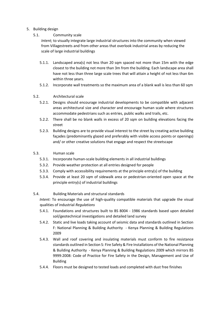#### 5. Building design

### 5.1. Community scale

*Intent;* to visually integrate large industrial structures into the community when viewed from Villagestreets and from other areas that overlook industrial areas by reducing the scale of large industrial buildings

- 5.1.1. Landscaped area(s) not less than 20 sqm spaced not more than 15m with the edge closest to the building not more than 3m from the building. Each landscape area shall have not less than three large scale trees that will attain a height of not less than 6m within three years.
- 5.1.2. Incorporate wall treatments so the maximum area of a blank wall is less than 60 sqm

#### 5.2. Architectural scale

- 5.2.1. Designs should encourage industrial developments to be compatible with adjacent areas architectural size and character and encourage human scale where structures accommodate pedestrians such as entries, public walks and trails, etc.
- 5.2.2. There shall be no blank walls in excess of 20 sqm on building elevations facing the street
- 5.2.3. Building designs are to provide visual interest to the street by creating active building façades (predominantly glazed and preferably with visible access points or openings) and/ or other creative solutions that engage and respect the streetscape
- 5.3. Human scale
	- 5.3.1. Incorporate human-scale building elements in all industrial buildings
	- 5.3.2. Provide weather protection at all entries designed for people
	- 5.3.3. Comply with accessibility requirements at the principle entry(s) of the building
	- 5.3.4. Provide at least 20 sqm of sidewalk area or pedestrian-oriented open space at the principle entry(s) of industrial buildings
- 5.4. Building Materials and structural standards

*Intent:* To encourage the use of high-quality compatible materials that upgrade the visual qualities of industrial *Regulations* 

- 5.4.1. Foundations and structures built to BS 8004 1986 standards based upon detailed soil/geotechnical investigations and detailed land survey
- 5.4.2. Static and live loads taking account of seismic data and standards outlined in Section F: National Planning & Building Authority - Kenya Planning & Building Regulations 2009
- 5.4.3. Wall and roof covering and insulating materials must conform to fire resistance standards outlined in Section S: Fire Safety & Fire Installations of the National Planning & Building Authority - Kenya Planning & Building Regulations 2009 which mirrors BS 9999:2008: Code of Practice for Fire Safety in the Design, Management and Use of Building
- 5.4.4. Floors must be designed to tested loads and completed with dust free finishes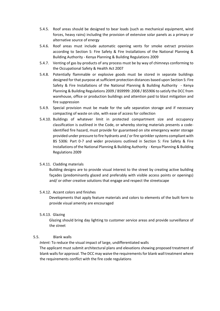- 5.4.5. Roof areas should be designed to bear loads (such as mechanical equipment, wind forces, heavy rains) including the provision of extensive solar panels as a primary or alternative source of energy
- 5.4.6. Roof areas must include automatic opening vents for smoke extract provision according to Section S: Fire Safety & Fire Installations of the National Planning & Building Authority - Kenya Planning & Building Regulations 2009
- 5.4.7. Venting of gas by-products of any process must be by way of chimneys conforming to the Occupational Safety & Health Act 2007
- 5.4.8. Potentially flammable or explosive goods must be stored in separate buildings designed for that purpose at sufficient protection distances based upon Section S: Fire Safety & Fire Installations of the National Planning & Building Authority - Kenya Planning & Building Regulations 2009 / BS9999: 2008 / BS5906 to satisfy the DCC from warehouse, office or production buildings and attention paid to blast mitigation and fire suppression
- 5.4.9. Special provision must be made for the safe separation storage and if necessary compacting of waste on site, with ease of access for collection
- 5.4.10. Buildings of whatever limit in protected compartment size and occupancy classification is outlined in the Code, or whereby storing materials presents a codeidentified fire hazard, must provide for guaranteed on site emergency water storage provided under pressure to fire hydrants and / or fire sprinkler systems compliant with BS 5306: Part 0-7 and wider provisions outlined in Section S: Fire Safety & Fire Installations of the National Planning & Building Authority - Kenya Planning & Building Regulations 2009

#### 5.4.11. Cladding materials

Building designs are to provide visual interest to the street by creating active building façades (predominantly glazed and preferably with visible access points or openings) and/ or other creative solutions that engage and respect the streetscape

#### 5.4.12. Accent colors and finishes

Developments that apply feature materials and colors to elements of the built form to provide visual amenity are encouraged

#### 5.4.13. Glazing

Glazing should bring day lighting to customer service areas and provide surveillance of the street

#### 5.5. Blank walls

*Intent:* To reduce the visual impact of large, undifferentiated walls The applicant must submit architectural plans and elevations showing proposed treatment of blank walls for approval. The DCC may waive the requirements for blank wall treatment where the requirements conflict with the fire code regulations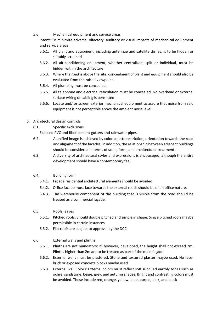5.6. Mechanical equipment and service areas

Intent: To minimize adverse, olfactory, auditory or visual impacts of mechanical equipment and service areas

- 5.6.1. All plant and equipment, including antennae and satellite dishes, is to be hidden or suitably screened
- 5.6.2. All air-conditioning equipment, whether centralized, split or individual, must be hidden within the architecture
- 5.6.3. Where the road is above the site, concealment of plant and equipment should also be evaluated from the raised viewpoint.
- 5.6.4. All plumbing must be concealed.
- 5.6.5. All telephone and electrical reticulation must be concealed. No overhead or external surface wiring or cabling is permitted
- 5.6.6. Locate and/ or screen exterior mechanical equipment to assure that noise from said equipment is not perceptible above the ambient noise level
- 6. Architectural design controls
	- 6.1. Specific exclusions

Exposed PVC and fiber cement gutters and rainwater pipes

- 6.2. A unified image is achieved by color palette restriction, orientation towards the road and alignment of the facades. In addition, the relationship between adjacent buildings should be considered in terms of scale, form, and architectural treatment.
- 6.3. A diversity of architectural styles and expressions is encouraged, although the entire development should have a contemporary feel
- 6.4. Building form
	- 6.4.1. Façade residential architectural elements should be avoided.
	- 6.4.2. Office facade must face towards the external roads should be of an office nature.
	- 6.4.3. The warehouse component of the building that is visible from the road should be treated as a commercial façade.
- 6.5. Roofs, eaves
	- 6.5.1. Pitched roofs: Should double pitched and simple in shape. Single pitched roofs maybe permissible in certain instances.
	- 6.5.2. Flat roofs are subject to approval by the DCC
- 6.6. External walls and plinths
	- 6.6.1. Plinths are not mandatory: If, however, developed, the height shall not exceed 2m. Plinths higher than 2m are to be treated as part of the main façade
	- 6.6.2. External walls must be plastered. Stone and textured plaster maybe used. No facebrick or exposed concrete blocks maybe used
	- 6.6.3. External wall Colors: External colors must reflect soft subdued earthly tones such as ochre, sandstone, beige, grey, and autumn shades. Bright and contrasting colors must be avoided. These include red, orange, yellow, blue, purple, pink, and black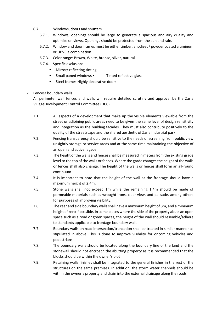- 6.7. Windows, doors and shutters
	- 6.7.1. Windows; openings should be large to generate a spacious and airy quality and optimize on views. Openings should be protected from the sun and rain.
	- 6.7.2. Window and door frames must be either timber, anodized/ powder coated aluminum or UPVC a combination.
	- 6.7.3. Color range: Brown, White, bronze, silver, natural
	- 6.7.4. Specific exclusions
		- Mirror/ reflecting tinting
		- Small paned windows Tinted reflective glass
		- **Steel frames Highly decorative doors**

#### 7. Fences/ boundary walls

All perimeter wall fences and walls will require detailed scrutiny and approval by the Zaria VillageDevelopment Control Committee (DCC).

- 7.1. All aspects of a development that make up the visible elements viewable from the street or adjoining public areas need to be given the same level of design sensitivity and integration as the building facades. They must also contribute positively to the quality of the streetscape and the shared aesthetic of Zaria Industrial park
- 7.2. Fencing transparency should be sensitive to the needs of screening from public view unsightly storage or service areas and at the same time maintaining the objective of an open and active façade
- 7.3. The height of the walls and fences shall be measured in meters from the existing grade level to the top of the walls or fences. Where the grade changes the height of the walls or fences shall also change. The height of the walls or fences shall form an all-round continuum
- 7.4. It is important to note that the height of the wall at the frontage should have a maximum height of 2.4m.
- 7.5. Stone walls shall not exceed 1m while the remaining 1.4m should be made of permeable materials such as wrought irons, clear view, and palisade, among others for purposes of improving visibility.
- 7.6. The rear and side boundary walls shall have a maximum height of 3m, and a minimum height of zero if possible. In some places where the side of the property abuts an open space such as a road or green spaces, the height of the wall should resemble/adhere to standards applicable to frontage boundary wall.
- 7.7. Boundary walls on road intersection/truncation shall be treated in similar manner as stipulated in above. This is done to improve visibility for oncoming vehicles and pedestrians.
- 7.8. The boundary walls should be located along the boundary line of the land and the stonewall should not encroach the abutting property as it is recommended that the blocks should be within the owner's plot
- 7.9. Retaining walls finishes shall be integrated to the general finishes in the rest of the structures on the same premises. In addition, the storm water channels should be within the owner's property and drain into the external drainage along the roads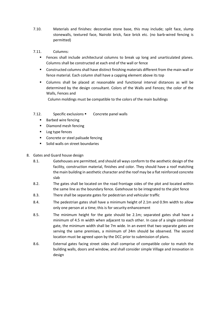- 7.10. Materials and finishes: decorative stone base, this may include; split face, slump stonewalls, textured face, Nairobi brick, face brick etc. (no barb-wired fencing is permitted)
- 7.11. Columns:
	- Fences shall include architectural columns to break up long and unarticulated planes. Columns shall be constructed at each end of the wall or fence
	- Constructed columns shall have distinct finishing materials different from the main wall or fence material. Each column shall have a capping element above its top
	- Columns shall be placed at reasonable and functional interval distances as will be determined by the design consultant. Colors of the Walls and Fences; the color of the Walls, Fences and

Column moldings must be compatible to the colors of the main buildings

- 7.12. Specific exclusions Concrete panel walls
	- Barbed wire fencing
	- **Diamond mesh fencing**
	- Log type fences
	- **Concrete or steel palisade fencing**
	- **Solid walls on street boundaries**
- 8. Gates and Guard house design
	- 8.1. Gatehouses are permitted, and should all ways conform to the aesthetic design of the facility, construction material, finishes and color. They should have a roof matching the main building in aesthetic character and the roof may be a flat reinforced concrete slab
	- 8.2. The gates shall be located on the road frontage sides of the plot and located within the same line as the boundary fence. Gatehouse to be integrated to the plot fence
	- 8.3. There shall be separate gates for pedestrian and vehicular traffic
	- 8.4. The pedestrian gates shall have a minimum height of 2.1m and 0.9m width to allow only one person at a time; this is for security enhancement
	- 8.5. The minimum height for the gate should be 2.1m; separated gates shall have a minimum of 4.5 m width when adjacent to each other. In case of a single combined gate, the minimum width shall be 7m wide. In an event that two separate gates are serving the same premises, a minimum of 24m should be observed. The second location must be agreed upon by the DCC prior to submission of plans.
	- 8.6. External gates facing street sides shall comprise of compatible color to match the building walls, doors and window, and shall consider simple Village and innovation in design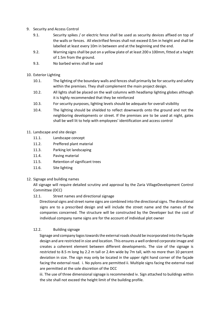- 9. Security and Access Control
	- 9.1. Security spikes / or electric fence shall be used as security devices affixed on top of the walls or fences. All electrified fences shall not exceed 0.5m in height and shall be labelled at least every 10m in between and at the beginning and the end.
	- 9.2. Warning signs shall be put on a yellow plate of at least 200 x 100mm, fitted at a height of 1.5m from the ground.
	- 9.3. No barbed wires shall be used
- 10. Exterior Lighting
	- 10.1. The lighting of the boundary walls and fences shall primarily be for security and safety within the premises. They shall complement the main project design.
	- 10.2. All lights shall be placed on the wall columns with headlamp lighting globes although it is highly recommended that they be reinforced
	- 10.3. For security purposes, lighting levels should be adequate for overall visibility
	- 10.4. The lighting should be shielded to reflect downwards onto the ground and not the neighboring developments or street. If the premises are to be used at night, gates shall be well lit to help with employees' identification and access control

#### 11. Landscape and site design

- 11.1. Landscape concept
- 11.2. Preffered plant material
- 11.3. Parking lot landscaping
- 11.4. Paving material
- 11.5. Retention of significant trees
- 11.6. Site lighting

#### 12. Signage and building names

All signage will require detailed scrutiny and approval by the Zaria VillageDevelopment Control Committee (DCC)

12.1. Street names and directional signage

Directional signs and street name signs are combined into the directional signs. The directional signs are to a prescribed design and will include the street name and the names of the companies concerned. The structure will be constructed by the Developer but the cost of individual company name signs are for the account of individual plot owner

#### 12.2. Building signage

Signage and company logos towards the external roads should be incorporated into the façade design and are restricted in size and location. This ensures a well ordered corporate image and creates a coherent element between different developments. The size of the signage is restricted to 8.5 m long by 2.2 m tall or 2.4m wide by 7m tall, with no more than 10 percent deviation in size. The sign may only be located in the upper right hand corner of the façade facing the external road. i. No pylons are permitted ii. Multiple signs facing the external road are permitted at the sole discretion of the DCC

iii. The use of three dimensional signage is recommended iv. Sign attached to buildings within the site shall not exceed the height limit of the building profile.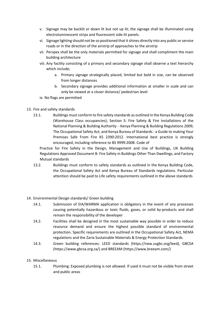- v. Signage may be backlit or down lit but not up lit; the signage shall be illuminated using electroluminescent strips and fluorescent side-lit panels.
- vi. Signage lighting should not be so positioned that it shines directly into any public or service roads or in the direction of the airstrip of approaches to the airstrip
- vii. Perspex shall be the only materials permitted for signage and shall compliment the main building architecture
- viii. Any facility consisting of a primary and secondary signage shall observe a text hierarchy which include;
	- a. Primary signage strategically placed, limited but bold in size, can be observed from longer distances
	- b. Secondary signage provides additional information at smaller in scale and can only be viewed at a closer distance/ pedestrian level
- ix. No flags are permitted
- 13. Fire and safety standards
	- 13.1. Buildings must conform to fire safety standards as outlined in the Kenya Building Code (Warehouse Class occupancies); Section S: Fire Safety & Fire Installations of the National Planning & Building Authority - Kenya Planning & Building Regulations 2009; The Occupational Safety Act; and Kenya Bureau of Standards : a Guide to making Your Premises Safe From Fire KS 2390:2012. International best practice is strongly encouraged, including reference to BS 9999:2008: Code of

Practice for Fire Safety in the Design, Management and Use of Buildings, UK Building Regulations Approved Document B: Fire Safety in Buildings Other Than Dwellings, and Factory Mutual standards

13.2. Buildings must conform to safety standards as outlined in the Kenya Building Code, the Occupational Safety Act and Kenya Bureau of Standards regulations. Particular attention should be paid to Life safety requirements outlined in the above standards

#### 14. Environmental Design standards/ Green building

- 14.1. Submission of EIA/WARMA application is obligatory in the event of any processes causing potentially hazardous or toxic fluids, gases, or solid by-products and shall remain the responsibility of the developer
- 14.2. Facilities shall be designed in the most sustainable way possible in order to reduce resource demand and ensure the highest possible standard of environmental protection. Specific requirements are outlined in the Occupational Safety Act, NEMA regulations and the Zaria Sustainable Materials & Energy Protection Standards.
- 14.3. Green building references: LEED standards (https://new.usgbc.org/leed), GBCSA (https://www.gbcsa.org.za/) and BREEAM (https://www.breeam.com/)

#### 15. Miscellaneous

15.1. Plumbing: Exposed plumbing is not allowed. If used it must not be visible from street and public areas